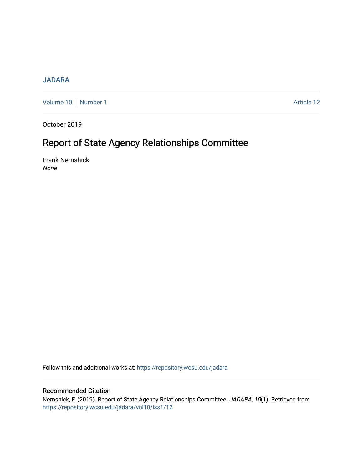## [JADARA](https://repository.wcsu.edu/jadara)

[Volume 10](https://repository.wcsu.edu/jadara/vol10) | [Number 1](https://repository.wcsu.edu/jadara/vol10/iss1) Article 12

October 2019

# Report of State Agency Relationships Committee

Frank Nemshick None

Follow this and additional works at: [https://repository.wcsu.edu/jadara](https://repository.wcsu.edu/jadara?utm_source=repository.wcsu.edu%2Fjadara%2Fvol10%2Fiss1%2F12&utm_medium=PDF&utm_campaign=PDFCoverPages)

## Recommended Citation

Nemshick, F. (2019). Report of State Agency Relationships Committee. JADARA, 10(1). Retrieved from [https://repository.wcsu.edu/jadara/vol10/iss1/12](https://repository.wcsu.edu/jadara/vol10/iss1/12?utm_source=repository.wcsu.edu%2Fjadara%2Fvol10%2Fiss1%2F12&utm_medium=PDF&utm_campaign=PDFCoverPages)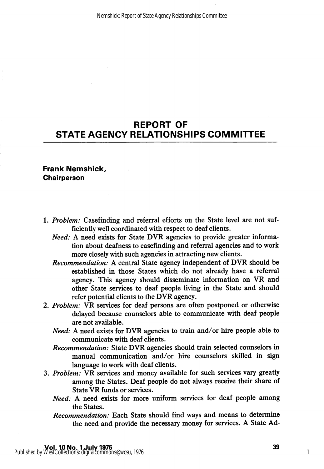# REPORT OF STATE AGENCY RELATIONSHIPS COMMITTEE

### Frank Nemshick, **Chairperson**

- 1. Problem: Casefinding and referral efforts on the State level are not sufficiently well coordinated with respect to deaf clients.
	- Need: A need exists for State DVR agencies to provide greater information about deafness to casefinding and referral agencies and to work more closely with such agencies in attracting new clients.
	- Recommendation: A central State agency independent of DVR should be established in those States which do not already have a referral agency. This agency should disseminate information on VR and other State services to deaf people living in the State and should refer potential clients to the DVR agency.
- 2. Problem: VR services for deaf persons are often postponed or otherwise delayed because counselors able to communicate with deaf people are not available.
	- Need: A need exists for DVR agencies to train and/or hire people able to communicate with deaf clients.
	- Recommendation: State DVR agencies should train selected counselors in manual communication and/or hire counselors skilled in sign language to work with deaf clients.
- 3. Problem: VR services and money available for such services vary greatly among the States. Deaf people do not always receive their share of State VR funds or services.
	- Need: A need exists for more uniform services for deaf people among the States.
	- Recommendation: Each State should find ways and means to determine the need and provide the necessary money for services. A State Ad-

1